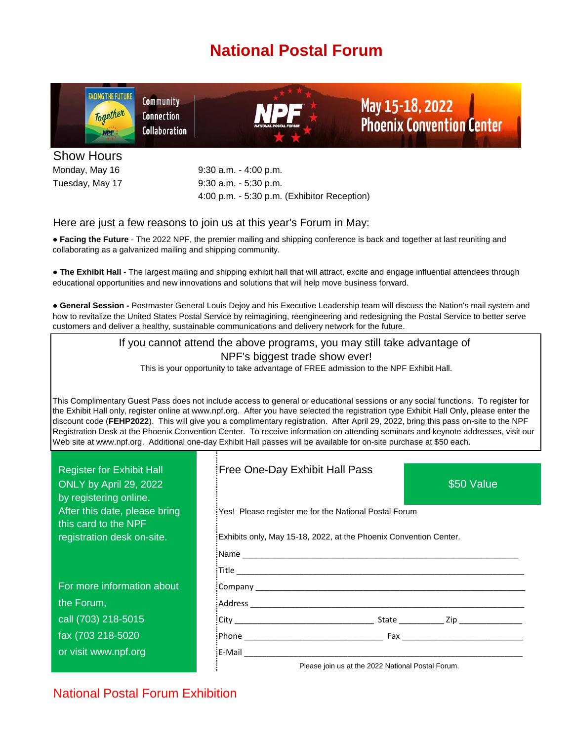# **National Postal Forum**



Show Hours Tuesday, May 17

9:30 a.m. - 5:30 p.m. Monday, May 16 9:30 a.m. - 4:00 p.m. 4:00 p.m. - 5:30 p.m. (Exhibitor Reception)

### Here are just a few reasons to join us at this year's Forum in May:

● **Facing the Future** - The 2022 NPF, the premier mailing and shipping conference is back and together at last reuniting and collaborating as a galvanized mailing and shipping community.

**● The Exhibit Hall -** The largest mailing and shipping exhibit hall that will attract, excite and engage influential attendees through educational opportunities and new innovations and solutions that will help move business forward.

● **General Session -** Postmaster General Louis Dejoy and his Executive Leadership team will discuss the Nation's mail system and how to revitalize the United States Postal Service by reimagining, reengineering and redesigning the Postal Service to better serve customers and deliver a healthy, sustainable communications and delivery network for the future.

> If you cannot attend the above programs, you may still take advantage of NPF's biggest trade show ever! This is your opportunity to take advantage of FREE admission to the NPF Exhibit Hall.

This Complimentary Guest Pass does not include access to general or educational sessions or any social functions. To register for the Exhibit Hall only, register online at www.npf.org. After you have selected the registration type Exhibit Hall Only, please enter the discount code (**FEHP2022**). This will give you a complimentary registration. After April 29, 2022, bring this pass on-site to the NPF Registration Desk at the Phoenix Convention Center. To receive information on attending seminars and keynote addresses, visit our Web site at www.npf.org. Additional one-day Exhibit Hall passes will be available for on-site purchase at \$50 each.

| <b>Register for Exhibit Hall</b><br>ONLY by April 29, 2022<br>by registering online. | Free One-Day Exhibit Hall Pass<br>\$50 Value                      |
|--------------------------------------------------------------------------------------|-------------------------------------------------------------------|
| After this date, please bring<br>this card to the NPF                                | Yes! Please register me for the National Postal Forum             |
| registration desk on-site.                                                           | Exhibits only, May 15-18, 2022, at the Phoenix Convention Center. |
|                                                                                      |                                                                   |
|                                                                                      |                                                                   |
| For more information about                                                           |                                                                   |
| the Forum,                                                                           |                                                                   |
| call (703) 218-5015                                                                  |                                                                   |
| fax (703 218-5020                                                                    |                                                                   |
| or visit www.npf.org                                                                 |                                                                   |
|                                                                                      | Please join us at the 2022 National Postal Forum.                 |

National Postal Forum Exhibition